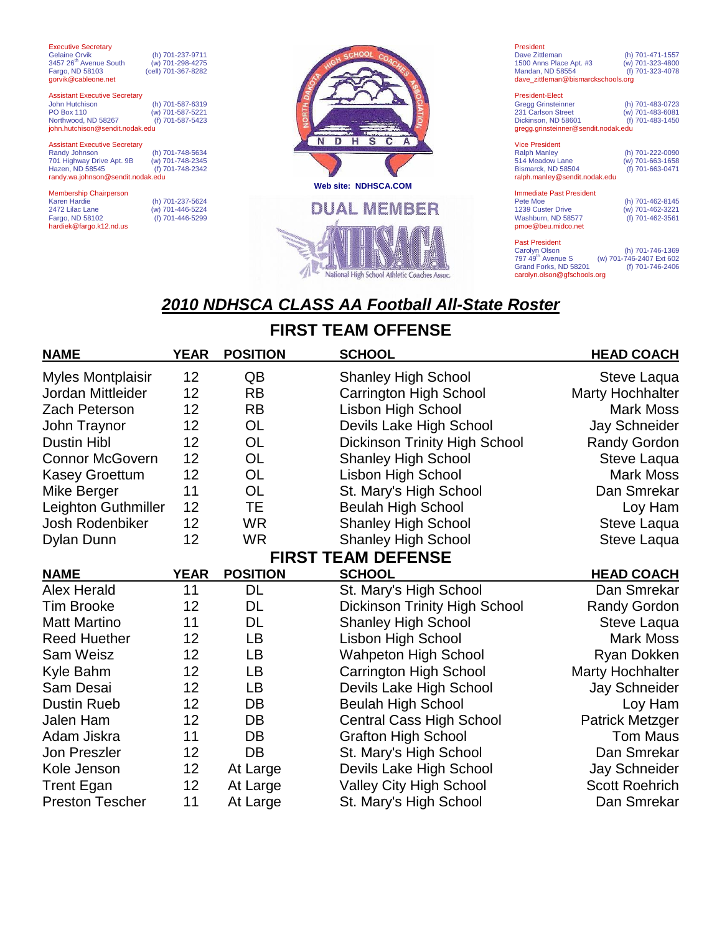| <b>Executive Secretary</b><br><b>Gelaine Orvik</b><br>3457 26 <sup>th</sup> Avenue South<br>Fargo, ND 58103<br>gorvik@cableone.net           | (h) 701-237-9711<br>(w) 701-298-4275<br>(cell) 701-367-8282 |  |
|----------------------------------------------------------------------------------------------------------------------------------------------|-------------------------------------------------------------|--|
| <b>Assistant Executive Secretary</b><br><b>John Hutchison</b><br><b>PO Box 110</b><br>Northwood, ND 58267<br>john.hutchison@sendit.nodak.edu | (h) 701-587-6319<br>(w) 701-587-5221<br>(f) 701-587-5423    |  |
| <b>Assistant Executive Secretary</b><br>Randy Johnson<br>701 Highway Drive Apt. 9B<br>Hazen, ND 58545<br>randy.wa.johnson@sendit.nodak.edu   | (h) 701-748-5634<br>(w) 701-748-2345<br>(f) 701-748-2342    |  |
| <b>Membership Chairperson</b><br><b>Karen Hardie</b><br>2472 Lilac Lane<br>Fargo, ND 58102<br>hardiek@fargo.k12.nd.us                        | (h) 701-237-5624<br>(w) 701-446-5224<br>(f) 701-446-5299    |  |



| President                          |                  |  |
|------------------------------------|------------------|--|
| Dave Zittleman                     | (h) 701-471-1557 |  |
| 1500 Anns Place Apt. #3            | (w) 701-323-4800 |  |
| Mandan, ND 58554                   | (f) 701-323-4078 |  |
| dave zittleman@bismarckschools.org |                  |  |

| <b>President-Elect</b>              |                  |
|-------------------------------------|------------------|
| <b>Gregg Grinsteinner</b>           | (h) 701-483-0723 |
| 231 Carlson Street                  | (w) 701-483-6081 |
| Dickinson, ND 58601                 | (f) 701-483-1450 |
| gregg.grinsteinner@sendit.nodak.edu |                  |

| <b>Vice President</b><br><b>Ralph Manley</b><br>514 Meadow Lane | (h) 701-222-0090<br>(w) 701-663-1658 |
|-----------------------------------------------------------------|--------------------------------------|
| Bismarck, ND 58504<br>ralph.manley@sendit.nodak.edu             | (f) 701-663-0471                     |

Immediate Past President<br>Pete Moe<br>1239 Custer Drive Pete Moe (h) 701-462-8145 1239 Custer Drive (w) 701-462-3221 Washburn, ND 58577 (f) 701-462-3561 pmoe@beu.midco.net

Past President<br>Carolyn Olson<br>797 49<sup>th</sup> Avenue S Carolyn Olson (h) 701-746-1369 797 49th Avenue S (w) 701-746-2407 Ext 602 Grand Forks, ND 58201 (f) 701-746-2406 carolyn.olson@gfschools.org

# *2010 NDHSCA CLASS AA Football All-State Roster*

### **FIRST TEAM OFFENSE**

| <b>NAME</b>               | <b>YEAR</b> | <b>POSITION</b> | <b>SCHOOL</b>                        | <b>HEAD COACH</b>       |
|---------------------------|-------------|-----------------|--------------------------------------|-------------------------|
| <b>Myles Montplaisir</b>  | 12          | QB              | <b>Shanley High School</b>           | Steve Laqua             |
| Jordan Mittleider         | 12          | <b>RB</b>       | Carrington High School               | <b>Marty Hochhalter</b> |
| <b>Zach Peterson</b>      | 12          | <b>RB</b>       | <b>Lisbon High School</b>            | <b>Mark Moss</b>        |
| John Traynor              | 12          | <b>OL</b>       | Devils Lake High School              | <b>Jay Schneider</b>    |
| <b>Dustin Hibl</b>        | 12          | <b>OL</b>       | <b>Dickinson Trinity High School</b> | <b>Randy Gordon</b>     |
| <b>Connor McGovern</b>    | 12          | <b>OL</b>       | <b>Shanley High School</b>           | Steve Laqua             |
| <b>Kasey Groettum</b>     | 12          | OL              | Lisbon High School                   | <b>Mark Moss</b>        |
| Mike Berger               | 11          | <b>OL</b>       | St. Mary's High School               | Dan Smrekar             |
| Leighton Guthmiller       | 12          | TЕ              | <b>Beulah High School</b>            | Loy Ham                 |
| Josh Rodenbiker           | 12          | <b>WR</b>       | <b>Shanley High School</b>           | Steve Laqua             |
| Dylan Dunn                | 12          | <b>WR</b>       | <b>Shanley High School</b>           | Steve Laqua             |
| <b>FIRST TEAM DEFENSE</b> |             |                 |                                      |                         |
| <b>NAME</b>               | <b>YEAR</b> | <b>POSITION</b> | <b>SCHOOL</b>                        | <b>HEAD COACH</b>       |
| <b>Alex Herald</b>        | 11          | <b>DL</b>       | St. Mary's High School               | Dan Smrekar             |
| <b>Tim Brooke</b>         | 12          | DL              | <b>Dickinson Trinity High School</b> | <b>Randy Gordon</b>     |
| <b>Matt Martino</b>       | 11          | DL              | <b>Shanley High School</b>           | Steve Laqua             |
| <b>Reed Huether</b>       | 12          | LB              | Lisbon High School                   | <b>Mark Moss</b>        |
| <b>Sam Weisz</b>          | 12          | LB              | <b>Wahpeton High School</b>          | Ryan Dokken             |
| Kyle Bahm                 | 12          | LВ              | Carrington High School               | <b>Marty Hochhalter</b> |
| Sam Desai                 | 12          | LB              | Devils Lake High School              | <b>Jay Schneider</b>    |
| <b>Dustin Rueb</b>        | 12          | DB              | <b>Beulah High School</b>            | Loy Ham                 |
| Jalen Ham                 | 12          | DB              | <b>Central Cass High School</b>      | <b>Patrick Metzger</b>  |
| Adam Jiskra               | 11          | DB              | <b>Grafton High School</b>           | <b>Tom Maus</b>         |
| <b>Jon Preszler</b>       | 12          | DB              | St. Mary's High School               | Dan Smrekar             |
| Kole Jenson               | 12          | At Large        | Devils Lake High School              | Jay Schneider           |
| <b>Trent Egan</b>         | 12          | At Large        | <b>Valley City High School</b>       | <b>Scott Roehrich</b>   |
| <b>Preston Tescher</b>    | 11          | At Large        | St. Mary's High School               | Dan Smrekar             |